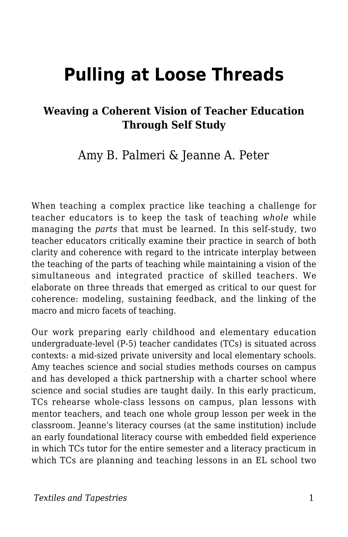# **Pulling at Loose Threads**

### **Weaving a Coherent Vision of Teacher Education Through Self Study**

Amy B. Palmeri & Jeanne A. Peter

When teaching a complex practice like teaching a challenge for teacher educators is to keep the task of teaching *whole* while managing the *parts* that must be learned. In this self-study, two teacher educators critically examine their practice in search of both clarity and coherence with regard to the intricate interplay between the teaching of the parts of teaching while maintaining a vision of the simultaneous and integrated practice of skilled teachers. We elaborate on three threads that emerged as critical to our quest for coherence: modeling, sustaining feedback, and the linking of the macro and micro facets of teaching.

Our work preparing early childhood and elementary education undergraduate-level (P-5) teacher candidates (TCs) is situated across contexts: a mid-sized private university and local elementary schools. Amy teaches science and social studies methods courses on campus and has developed a thick partnership with a charter school where science and social studies are taught daily. In this early practicum, TCs rehearse whole-class lessons on campus, plan lessons with mentor teachers, and teach one whole group lesson per week in the classroom. Jeanne's literacy courses (at the same institution) include an early foundational literacy course with embedded field experience in which TCs tutor for the entire semester and a literacy practicum in which TCs are planning and teaching lessons in an EL school two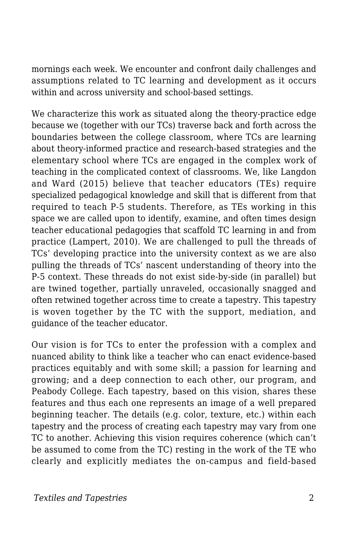mornings each week. We encounter and confront daily challenges and assumptions related to TC learning and development as it occurs within and across university and school-based settings.

We characterize this work as situated along the theory-practice edge because we (together with our TCs) traverse back and forth across the boundaries between the college classroom, where TCs are learning about theory-informed practice and research-based strategies and the elementary school where TCs are engaged in the complex work of teaching in the complicated context of classrooms. We, like Langdon and Ward (2015) believe that teacher educators (TEs) require specialized pedagogical knowledge and skill that is different from that required to teach P-5 students. Therefore, as TEs working in this space we are called upon to identify, examine, and often times design teacher educational pedagogies that scaffold TC learning in and from practice (Lampert, 2010). We are challenged to pull the threads of TCs' developing practice into the university context as we are also pulling the threads of TCs' nascent understanding of theory into the P-5 context. These threads do not exist side-by-side (in parallel) but are twined together, partially unraveled, occasionally snagged and often retwined together across time to create a tapestry. This tapestry is woven together by the TC with the support, mediation, and guidance of the teacher educator.

Our vision is for TCs to enter the profession with a complex and nuanced ability to think like a teacher who can enact evidence-based practices equitably and with some skill; a passion for learning and growing; and a deep connection to each other, our program, and Peabody College*.* Each tapestry, based on this vision, shares these features and thus each one represents an image of a well prepared beginning teacher. The details (e.g. color, texture, etc.) within each tapestry and the process of creating each tapestry may vary from one TC to another. Achieving this vision requires coherence (which can't be assumed to come from the TC) resting in the work of the TE who clearly and explicitly mediates the on-campus and field-based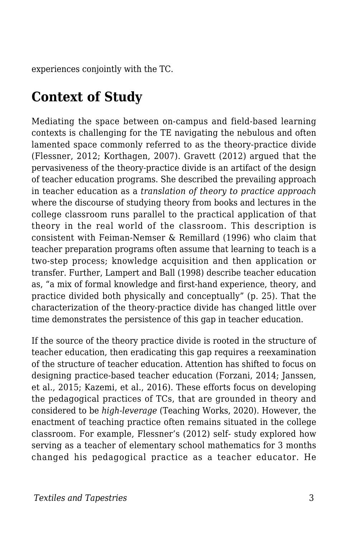experiences conjointly with the TC.

# **Context of Study**

Mediating the space between on-campus and field-based learning contexts is challenging for the TE navigating the nebulous and often lamented space commonly referred to as the theory-practice divide (Flessner, 2012; Korthagen, 2007). Gravett (2012) argued that the pervasiveness of the theory-practice divide is an artifact of the design of teacher education programs. She described the prevailing approach in teacher education as a *translation of theory to practice approach* where the discourse of studying theory from books and lectures in the college classroom runs parallel to the practical application of that theory in the real world of the classroom. This description is consistent with Feiman-Nemser & Remillard (1996) who claim that teacher preparation programs often assume that learning to teach is a two-step process; knowledge acquisition and then application or transfer. Further, Lampert and Ball (1998) describe teacher education as, "a mix of formal knowledge and first-hand experience, theory, and practice divided both physically and conceptually" (p. 25). That the characterization of the theory-practice divide has changed little over time demonstrates the persistence of this gap in teacher education.

If the source of the theory practice divide is rooted in the structure of teacher education, then eradicating this gap requires a reexamination of the structure of teacher education. Attention has shifted to focus on designing practice-based teacher education (Forzani, 2014; Janssen, et al., 2015; Kazemi, et al., 2016). These efforts focus on developing the pedagogical practices of TCs, that are grounded in theory and considered to be *high-leverage* (Teaching Works, 2020). However, the enactment of teaching practice often remains situated in the college classroom. For example, Flessner's (2012) self- study explored how serving as a teacher of elementary school mathematics for 3 months changed his pedagogical practice as a teacher educator. He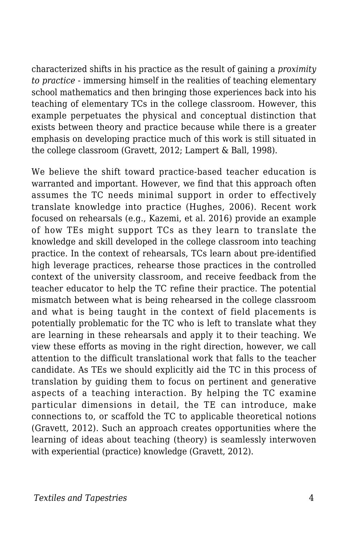characterized shifts in his practice as the result of gaining a *proximity to practice* - immersing himself in the realities of teaching elementary school mathematics and then bringing those experiences back into his teaching of elementary TCs in the college classroom. However, this example perpetuates the physical and conceptual distinction that exists between theory and practice because while there is a greater emphasis on developing practice much of this work is still situated in the college classroom (Gravett, 2012; Lampert & Ball, 1998).

We believe the shift toward practice-based teacher education is warranted and important. However, we find that this approach often assumes the TC needs minimal support in order to effectively translate knowledge into practice (Hughes, 2006). Recent work focused on rehearsals (e.g., Kazemi, et al. 2016) provide an example of how TEs might support TCs as they learn to translate the knowledge and skill developed in the college classroom into teaching practice. In the context of rehearsals, TCs learn about pre-identified high leverage practices, rehearse those practices in the controlled context of the university classroom, and receive feedback from the teacher educator to help the TC refine their practice. The potential mismatch between what is being rehearsed in the college classroom and what is being taught in the context of field placements is potentially problematic for the TC who is left to translate what they are learning in these rehearsals and apply it to their teaching. We view these efforts as moving in the right direction, however, we call attention to the difficult translational work that falls to the teacher candidate. As TEs we should explicitly aid the TC in this process of translation by guiding them to focus on pertinent and generative aspects of a teaching interaction. By helping the TC examine particular dimensions in detail, the TE can introduce, make connections to, or scaffold the TC to applicable theoretical notions (Gravett, 2012). Such an approach creates opportunities where the learning of ideas about teaching (theory) is seamlessly interwoven with experiential (practice) knowledge (Gravett, 2012).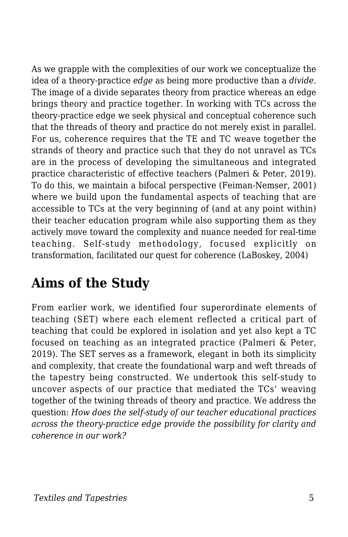As we grapple with the complexities of our work we conceptualize the idea of a theory-practice *edge* as being more productive than a *divide*. The image of a divide separates theory from practice whereas an edge brings theory and practice together. In working with TCs across the theory-practice edge we seek physical and conceptual coherence such that the threads of theory and practice do not merely exist in parallel. For us, coherence requires that the TE and TC weave together the strands of theory and practice such that they do not unravel as TCs are in the process of developing the simultaneous and integrated practice characteristic of effective teachers (Palmeri & Peter, 2019). To do this, we maintain a bifocal perspective (Feiman-Nemser, 2001) where we build upon the fundamental aspects of teaching that are accessible to TCs at the very beginning of (and at any point within) their teacher education program while also supporting them as they actively move toward the complexity and nuance needed for real-time teaching. Self-study methodology, focused explicitly on transformation, facilitated our quest for coherence (LaBoskey, 2004)

# **Aims of the Study**

From earlier work, we identified four superordinate elements of teaching (SET) where each element reflected a critical part of teaching that could be explored in isolation and yet also kept a TC focused on teaching as an integrated practice (Palmeri & Peter, 2019). The SET serves as a framework, elegant in both its simplicity and complexity, that create the foundational warp and weft threads of the tapestry being constructed. We undertook this self-study to uncover aspects of our practice that mediated the TCs' weaving together of the twining threads of theory and practice. We address the question: *How does the self-study of our teacher educational practices across the theory-practice edge provide the possibility for clarity and coherence in our work?*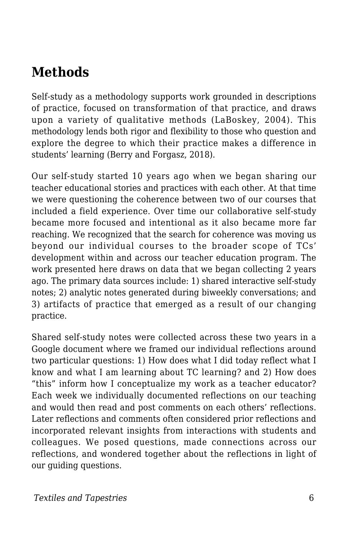# **Methods**

Self-study as a methodology supports work grounded in descriptions of practice, focused on transformation of that practice, and draws upon a variety of qualitative methods (LaBoskey, 2004). This methodology lends both rigor and flexibility to those who question and explore the degree to which their practice makes a difference in students' learning (Berry and Forgasz, 2018).

Our self-study started 10 years ago when we began sharing our teacher educational stories and practices with each other. At that time we were questioning the coherence between two of our courses that included a field experience. Over time our collaborative self-study became more focused and intentional as it also became more far reaching. We recognized that the search for coherence was moving us beyond our individual courses to the broader scope of TCs' development within and across our teacher education program. The work presented here draws on data that we began collecting 2 years ago. The primary data sources include: 1) shared interactive self-study notes; 2) analytic notes generated during biweekly conversations; and 3) artifacts of practice that emerged as a result of our changing practice.

Shared self-study notes were collected across these two years in a Google document where we framed our individual reflections around two particular questions: 1) How does what I did today reflect what I know and what I am learning about TC learning? and 2) How does "this" inform how I conceptualize my work as a teacher educator? Each week we individually documented reflections on our teaching and would then read and post comments on each others' reflections. Later reflections and comments often considered prior reflections and incorporated relevant insights from interactions with students and colleagues. We posed questions, made connections across our reflections, and wondered together about the reflections in light of our guiding questions.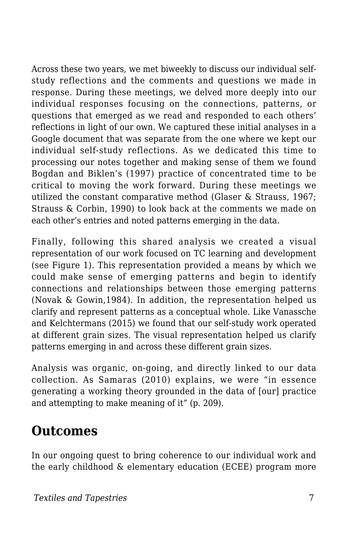Across these two years, we met biweekly to discuss our individual selfstudy reflections and the comments and questions we made in response. During these meetings, we delved more deeply into our individual responses focusing on the connections, patterns, or questions that emerged as we read and responded to each others' reflections in light of our own. We captured these initial analyses in a Google document that was separate from the one where we kept our individual self-study reflections. As we dedicated this time to processing our notes together and making sense of them we found Bogdan and Biklen's (1997) practice of concentrated time to be critical to moving the work forward. During these meetings we utilized the constant comparative method (Glaser & Strauss, 1967; Strauss & Corbin, 1990) to look back at the comments we made on each other's entries and noted patterns emerging in the data.

Finally, following this shared analysis we created a visual representation of our work focused on TC learning and development (see Figure 1). This representation provided a means by which we could make sense of emerging patterns and begin to identify connections and relationships between those emerging patterns (Novak & Gowin,1984). In addition, the representation helped us clarify and represent patterns as a conceptual whole. Like Vanassche and Kelchtermans (2015) we found that our self-study work operated at different grain sizes. The visual representation helped us clarify patterns emerging in and across these different grain sizes.

Analysis was organic, on-going, and directly linked to our data collection. As Samaras (2010) explains, we were "in essence generating a working theory grounded in the data of [our] practice and attempting to make meaning of it" (p. 209).

### **Outcomes**

In our ongoing quest to bring coherence to our individual work and the early childhood & elementary education (ECEE) program more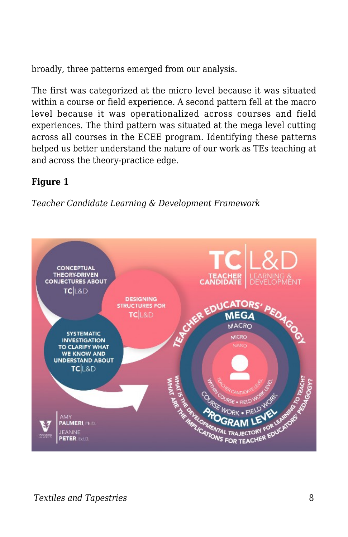broadly, three patterns emerged from our analysis.

The first was categorized at the micro level because it was situated within a course or field experience. A second pattern fell at the macro level because it was operationalized across courses and field experiences. The third pattern was situated at the mega level cutting across all courses in the ECEE program. Identifying these patterns helped us better understand the nature of our work as TEs teaching at and across the theory-practice edge.

#### **Figure 1**

*Teacher Candidate Learning & Development Framework*

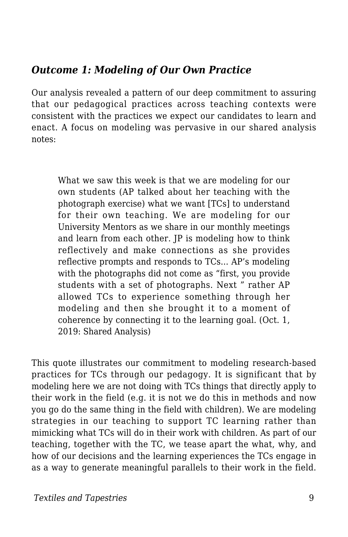### *Outcome 1: Modeling of Our Own Practice*

Our analysis revealed a pattern of our deep commitment to assuring that our pedagogical practices across teaching contexts were consistent with the practices we expect our candidates to learn and enact. A focus on modeling was pervasive in our shared analysis notes:

What we saw this week is that we are modeling for our own students (AP talked about her teaching with the photograph exercise) what we want [TCs] to understand for their own teaching. We are modeling for our University Mentors as we share in our monthly meetings and learn from each other. JP is modeling how to think reflectively and make connections as she provides reflective prompts and responds to TCs... AP's modeling with the photographs did not come as "first, you provide students with a set of photographs. Next " rather AP allowed TCs to experience something through her modeling and then she brought it to a moment of coherence by connecting it to the learning goal. (Oct. 1, 2019: Shared Analysis)

This quote illustrates our commitment to modeling research-based practices for TCs through our pedagogy. It is significant that by modeling here we are not doing with TCs things that directly apply to their work in the field (e.g. it is not we do this in methods and now you go do the same thing in the field with children). We are modeling strategies in our teaching to support TC learning rather than mimicking what TCs will do in their work with children. As part of our teaching, together with the TC, we tease apart the what, why, and how of our decisions and the learning experiences the TCs engage in as a way to generate meaningful parallels to their work in the field.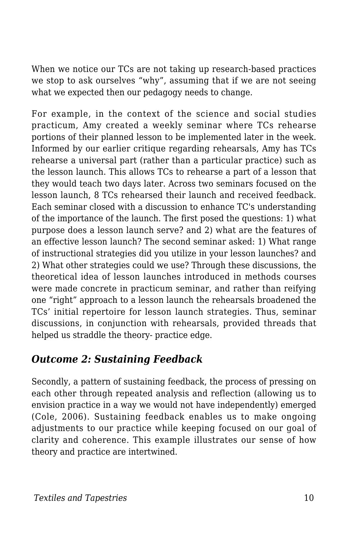When we notice our TCs are not taking up research-based practices we stop to ask ourselves "why", assuming that if we are not seeing what we expected then our pedagogy needs to change.

For example, in the context of the science and social studies practicum, Amy created a weekly seminar where TCs rehearse portions of their planned lesson to be implemented later in the week. Informed by our earlier critique regarding rehearsals, Amy has TCs rehearse a universal part (rather than a particular practice) such as the lesson launch. This allows TCs to rehearse a part of a lesson that they would teach two days later. Across two seminars focused on the lesson launch, 8 TCs rehearsed their launch and received feedback. Each seminar closed with a discussion to enhance TC's understanding of the importance of the launch. The first posed the questions: 1) what purpose does a lesson launch serve? and 2) what are the features of an effective lesson launch? The second seminar asked: 1) What range of instructional strategies did you utilize in your lesson launches? and 2) What other strategies could we use? Through these discussions, the theoretical idea of lesson launches introduced in methods courses were made concrete in practicum seminar, and rather than reifying one "right" approach to a lesson launch the rehearsals broadened the TCs' initial repertoire for lesson launch strategies. Thus, seminar discussions, in conjunction with rehearsals, provided threads that helped us straddle the theory- practice edge.

### *Outcome 2: Sustaining Feedback*

Secondly, a pattern of sustaining feedback, the process of pressing on each other through repeated analysis and reflection (allowing us to envision practice in a way we would not have independently) emerged (Cole, 2006). Sustaining feedback enables us to make ongoing adjustments to our practice while keeping focused on our goal of clarity and coherence. This example illustrates our sense of how theory and practice are intertwined.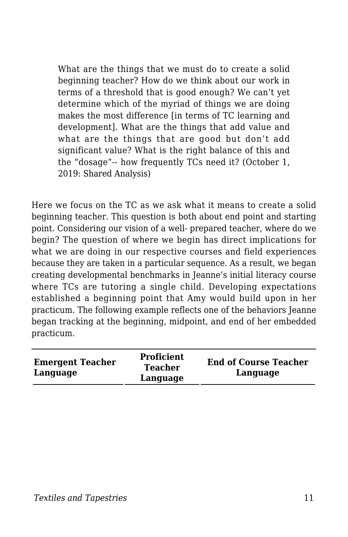What are the things that we must do to create a solid beginning teacher? How do we think about our work in terms of a threshold that is good enough? We can't yet determine which of the myriad of things we are doing makes the most difference [in terms of TC learning and development]. What are the things that add value and what are the things that are good but don't add significant value? What is the right balance of this and the "dosage"-- how frequently TCs need it? (October 1, 2019: Shared Analysis)

Here we focus on the TC as we ask what it means to create a solid beginning teacher. This question is both about end point and starting point. Considering our vision of a well- prepared teacher, where do we begin? The question of where we begin has direct implications for what we are doing in our respective courses and field experiences because they are taken in a particular sequence. As a result, we began creating developmental benchmarks in Jeanne's initial literacy course where TCs are tutoring a single child. Developing expectations established a beginning point that Amy would build upon in her practicum. The following example reflects one of the behaviors Jeanne began tracking at the beginning, midpoint, and end of her embedded practicum.

| <b>Emergent Teacher</b><br>Language | Proficient<br>Teacher<br>Language | <b>End of Course Teacher</b><br>Language |
|-------------------------------------|-----------------------------------|------------------------------------------|
|-------------------------------------|-----------------------------------|------------------------------------------|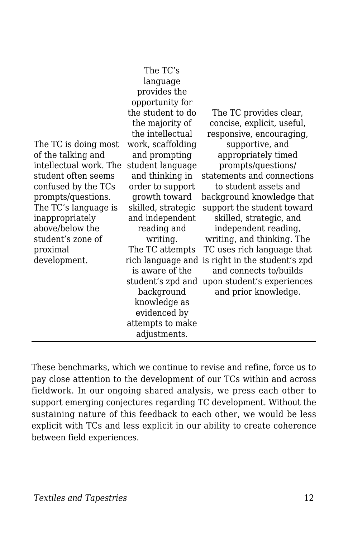|                        | The TC's           |                                                 |
|------------------------|--------------------|-------------------------------------------------|
|                        | language           |                                                 |
|                        | provides the       |                                                 |
|                        | opportunity for    |                                                 |
|                        | the student to do  | The TC provides clear,                          |
|                        | the majority of    | concise, explicit, useful,                      |
|                        | the intellectual   | responsive, encouraging,                        |
| The TC is doing most   | work, scaffolding  | supportive, and                                 |
| of the talking and     | and prompting      | appropriately timed                             |
| intellectual work. The | student language   | prompts/questions/                              |
| student often seems    | and thinking in    | statements and connections                      |
| confused by the TCs    | order to support   | to student assets and                           |
| prompts/questions.     | growth toward      | background knowledge that                       |
| The TC's language is   | skilled, strategic | support the student toward                      |
| inappropriately        | and independent    | skilled, strategic, and                         |
| above/below the        | reading and        | independent reading,                            |
| student's zone of      | writing.           | writing, and thinking. The                      |
| proximal               | The TC attempts    | TC uses rich language that                      |
| development.           |                    | rich language and is right in the student's zpd |
|                        | is aware of the    | and connects to/builds                          |
|                        | student's zpd and  | upon student's experiences                      |
|                        | background         | and prior knowledge.                            |
|                        | knowledge as       |                                                 |
|                        | evidenced by       |                                                 |
|                        | attempts to make   |                                                 |
|                        | adjustments.       |                                                 |

These benchmarks, which we continue to revise and refine, force us to pay close attention to the development of our TCs within and across fieldwork. In our ongoing shared analysis, we press each other to support emerging conjectures regarding TC development. Without the sustaining nature of this feedback to each other, we would be less explicit with TCs and less explicit in our ability to create coherence between field experiences.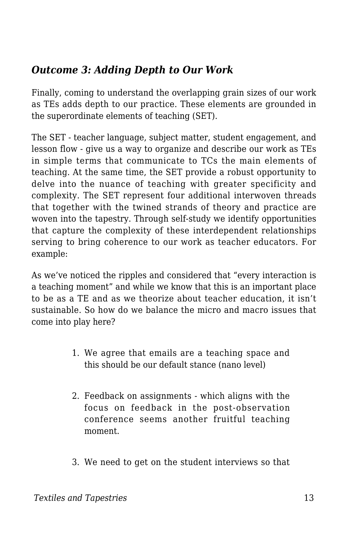### *Outcome 3: Adding Depth to Our Work*

Finally, coming to understand the overlapping grain sizes of our work as TEs adds depth to our practice. These elements are grounded in the superordinate elements of teaching (SET).

The SET - teacher language, subject matter, student engagement, and lesson flow - give us a way to organize and describe our work as TEs in simple terms that communicate to TCs the main elements of teaching. At the same time, the SET provide a robust opportunity to delve into the nuance of teaching with greater specificity and complexity. The SET represent four additional interwoven threads that together with the twined strands of theory and practice are woven into the tapestry. Through self-study we identify opportunities that capture the complexity of these interdependent relationships serving to bring coherence to our work as teacher educators. For example:

As we've noticed the ripples and considered that "every interaction is a teaching moment" and while we know that this is an important place to be as a TE and as we theorize about teacher education, it isn't sustainable. So how do we balance the micro and macro issues that come into play here?

- 1. We agree that emails are a teaching space and this should be our default stance (nano level)
- 2. Feedback on assignments which aligns with the focus on feedback in the post-observation conference seems another fruitful teaching moment.
- 3. We need to get on the student interviews so that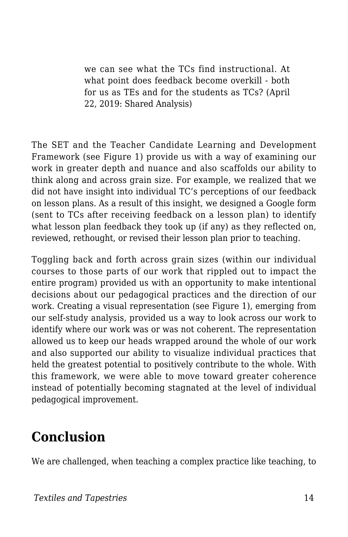we can see what the TCs find instructional. At what point does feedback become overkill - both for us as TEs and for the students as TCs? (April 22, 2019: Shared Analysis)

The SET and the Teacher Candidate Learning and Development Framework (see Figure 1) provide us with a way of examining our work in greater depth and nuance and also scaffolds our ability to think along and across grain size. For example, we realized that we did not have insight into individual TC's perceptions of our feedback on lesson plans. As a result of this insight, we designed a Google form (sent to TCs after receiving feedback on a lesson plan) to identify what lesson plan feedback they took up (if any) as they reflected on, reviewed, rethought, or revised their lesson plan prior to teaching.

Toggling back and forth across grain sizes (within our individual courses to those parts of our work that rippled out to impact the entire program) provided us with an opportunity to make intentional decisions about our pedagogical practices and the direction of our work. Creating a visual representation (see Figure 1), emerging from our self-study analysis, provided us a way to look across our work to identify where our work was or was not coherent. The representation allowed us to keep our heads wrapped around the whole of our work and also supported our ability to visualize individual practices that held the greatest potential to positively contribute to the whole. With this framework, we were able to move toward greater coherence instead of potentially becoming stagnated at the level of individual pedagogical improvement.

# **Conclusion**

We are challenged, when teaching a complex practice like teaching, to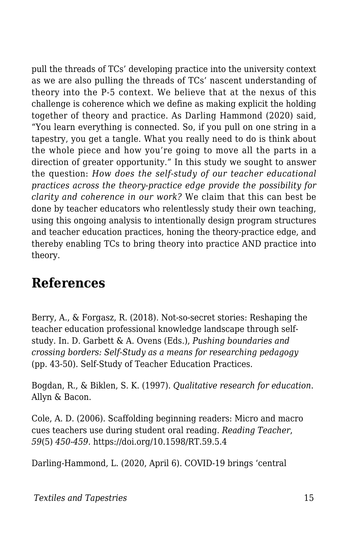pull the threads of TCs' developing practice into the university context as we are also pulling the threads of TCs' nascent understanding of theory into the P-5 context. We believe that at the nexus of this challenge is coherence which we define as making explicit the holding together of theory and practice. As Darling Hammond (2020) said, "You learn everything is connected. So, if you pull on one string in a tapestry, you get a tangle. What you really need to do is think about the whole piece and how you're going to move all the parts in a direction of greater opportunity." In this study we sought to answer the question: *How does the self-study of our teacher educational practices across the theory-practice edge provide the possibility for clarity and coherence in our work?* We claim that this can best be done by teacher educators who relentlessly study their own teaching, using this ongoing analysis to intentionally design program structures and teacher education practices, honing the theory-practice edge, and thereby enabling TCs to bring theory into practice AND practice into theory.

### **References**

Berry, A., & Forgasz, R. (2018). Not-so-secret stories: Reshaping the teacher education professional knowledge landscape through selfstudy. In. D. Garbett & A. Ovens (Eds.), *Pushing boundaries and crossing borders: Self-Study as a means for researching pedagogy* (pp. 43-50). Self-Study of Teacher Education Practices.

Bogdan, R., & Biklen, S. K. (1997). *Qualitative research for education*. Allyn & Bacon.

Cole, A. D. (2006). Scaffolding beginning readers: Micro and macro cues teachers use during student oral reading. *Reading Teacher*, *59*(5) *450-459.* https://doi.org/10.1598/RT.59.5.4

Darling-Hammond, L. (2020, April 6). COVID-19 brings 'central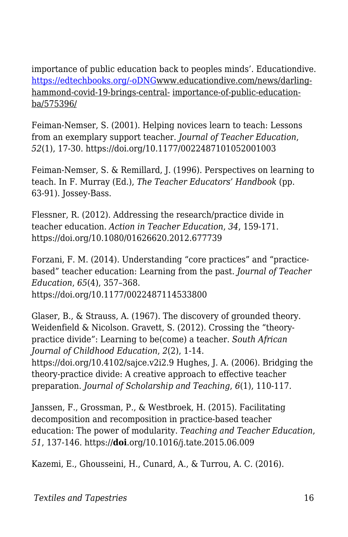importance of public education back to peoples minds'. Educationdive. [https://edtechbooks.org/-oDNG](http://www.educationdive.com/news/darling-hammond-covid-19-brings-central-)www.educationdive.com/news/darlinghammond-covid-19-brings-central- importance-of-public-educationba/575396/

Feiman-Nemser, S. (2001). Helping novices learn to teach: Lessons from an exemplary support teacher. *Journal of Teacher Education*, *52*(1), 17-30. https://doi.org/10.1177/0022487101052001003

Feiman-Nemser, S. & Remillard, J. (1996). Perspectives on learning to teach. In F. Murray (Ed.), *The Teacher Educators' Handbook* (pp. 63-91). Jossey-Bass.

Flessner, R. (2012). Addressing the research/practice divide in teacher education. *Action in Teacher Education*, *34*, 159-171. https://doi.org/10.1080/01626620.2012.677739

Forzani, F. M. (2014). Understanding "core practices" and "practicebased" teacher education: Learning from the past. *Journal of Teacher Education*, *65*(4), 357–368. https://doi.org/10.1177/0022487114533800

Glaser, B., & Strauss, A. (1967). The discovery of grounded theory. Weidenfield & Nicolson. Gravett, S. (2012). Crossing the "theorypractice divide": Learning to be(come) a teacher. *South African Journal of Childhood Education*, *2*(2), 1-14. https://doi.org/10.4102/sajce.v2i2.9 Hughes, J. A. (2006). Bridging the theory-practice divide: A creative approach to effective teacher preparation. *Journal of Scholarship and Teaching*, *6*(1), 110-117.

Janssen, F., Grossman, P., & Westbroek, H. (2015). Facilitating decomposition and recomposition in practice-based teacher education: The power of modularity. *Teaching and Teacher Education*, *51*, 137-146. https://**doi**.org/10.1016/j.tate.2015.06.009

Kazemi, E., Ghousseini, H., Cunard, A., & Turrou, A. C. (2016).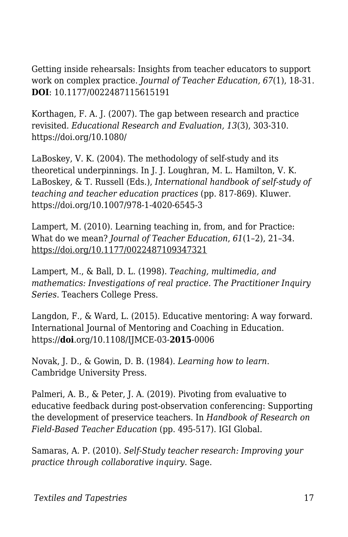Getting inside rehearsals: Insights from teacher educators to support work on complex practice. *Journal of Teacher Education, 67*(1), 18-31. **DOI**: 10.1177/0022487115615191

Korthagen, F. A. J. (2007). The gap between research and practice revisited. *Educational Research and Evaluation, 13*(3), 303-310. https://doi.org/10.1080/

LaBoskey, V. K. (2004). The methodology of self-study and its theoretical underpinnings. In J. J. Loughran, M. L. Hamilton, V. K. LaBoskey, & T. Russell (Eds.), *International handbook of self-study of teaching and teacher education practices* (pp. 817-869). Kluwer. https://doi.org/10.1007/978-1-4020-6545-3

Lampert, M. (2010). Learning teaching in, from, and for Practice: What do we mean? *Journal of Teacher Education*, *61*(1–2), 21–34. https://doi.org/10.1177/0022487109347321

Lampert, M., & Ball, D. L. (1998). *Teaching, multimedia, and mathematics: Investigations of real practice. The Practitioner Inquiry Series*. Teachers College Press.

Langdon, F., & Ward, L. (2015). Educative mentoring: A way forward. International Journal of Mentoring and Coaching in Education. https://**doi**.org/10.1108/IJMCE-03-**2015**-0006

Novak, J. D., & Gowin, D. B. (1984). *Learning how to learn*. Cambridge University Press.

Palmeri, A. B., & Peter, J. A. (2019). Pivoting from evaluative to educative feedback during post-observation conferencing: Supporting the development of preservice teachers. In *Handbook of Research on Field-Based Teacher Education* (pp. 495-517). IGI Global.

Samaras, A. P. (2010). *Self-Study teacher research: Improving your practice through collaborative inquiry*. Sage.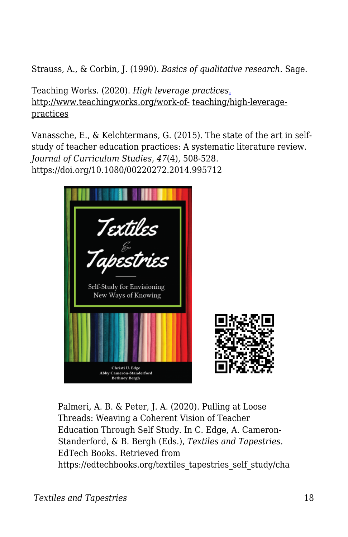Strauss, A., & Corbin, J. (1990). *Basics of qualitative research*. Sage.

Teaching Works. (2020). *High leverage practices*[.](http://www.teachingworks.org/work-of-) http://www.teachingworks.org/work-of- teaching/high-leveragepractices

Vanassche, E., & Kelchtermans, G. (2015). The state of the art in selfstudy of teacher education practices: A systematic literature review. *Journal of Curriculum Studies*, *47*(4), 508-528. https://doi.org/10.1080/00220272.2014.995712



Palmeri, A. B. & Peter, J. A. (2020). Pulling at Loose Threads: Weaving a Coherent Vision of Teacher Education Through Self Study. In C. Edge, A. Cameron-Standerford, & B. Bergh (Eds.), *Textiles and Tapestries*. EdTech Books. Retrieved from https://edtechbooks.org/textiles\_tapestries\_self\_study/cha